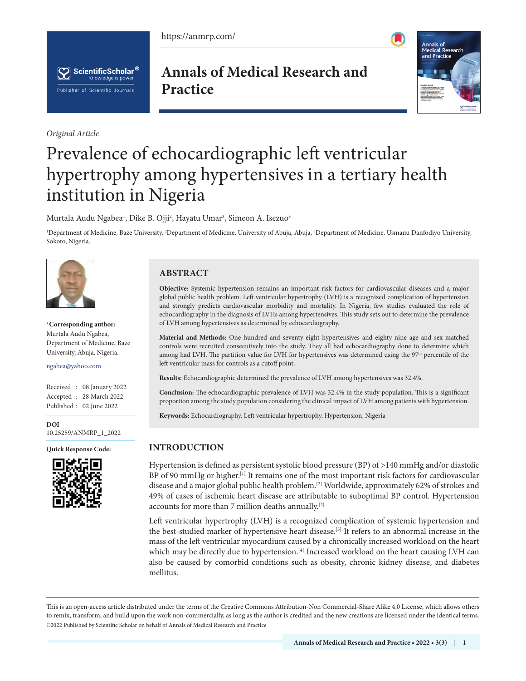https://anmrp.com/





*Original Article*

**Annals of Medical Research and Practice**



# Prevalence of echocardiographic left ventricular hypertrophy among hypertensives in a tertiary health institution in Nigeria

Murtala Audu Ngabea<sup>1</sup>, Dike B. Ojji<sup>2</sup>, Hayatu Umar<sup>3</sup>, Simeon A. Isezuo<sup>3</sup>

<sup>1</sup>Department of Medicine, Baze University, <sup>2</sup>Department of Medicine, University of Abuja, Abuja, <sup>3</sup>Department of Medicine, Usmanu Danfodiyo University, Sokoto, Nigeria.



**\*Corresponding author:** Murtala Audu Ngabea, Department of Medicine, Baze University, Abuja, Nigeria.

ngabea@yahoo.com

Received : 08 January 2022 Accepted : 28 March 2022 Published : 02 June 2022

**DOI** [10.25259/ANMRP\\_1\\_2022](https://dx.doi.org/10.25259/ANMRP_1_2022)



## **ABSTRACT**

**Objective:** Systemic hypertension remains an important risk factors for cardiovascular diseases and a major global public health problem. Left ventricular hypertrophy (LVH) is a recognized complication of hypertension and strongly predicts cardiovascular morbidity and mortality. In Nigeria, few studies evaluated the role of echocardiography in the diagnosis of LVHs among hypertensives. This study sets out to determine the prevalence of LVH among hypertensives as determined by echocardiography.

**Material and Methods:** One hundred and seventy-eight hypertensives and eighty-nine age and sex-matched controls were recruited consecutively into the study. They all had echocardiography done to determine which among had LVH. The partition value for LVH for hypertensives was determined using the 97<sup>th</sup> percentile of the left ventricular mass for controls as a cutoff point.

**Results:** Echocardiographic determined the prevalence of LVH among hypertensives was 32.4%.

**Conclusion:** The echocardiographic prevalence of LVH was 32.4% in the study population. This is a significant proportion among the study population considering the clinical impact of LVH among patients with hypertension.

**Keywords:** Echocardiography, Left ventricular hypertrophy, Hypertension, Nigeria

## **Quick Response Code: INTRODUCTION**

Hypertension is defined as persistent systolic blood pressure (BP) of >140 mmHg and/or diastolic BP of 90 mmHg or higher.[1] It remains one of the most important risk factors for cardiovascular disease and a major global public health problem.[2] Worldwide, approximately 62% of strokes and 49% of cases of ischemic heart disease are attributable to suboptimal BP control. Hypertension accounts for more than 7 million deaths annually.<sup>[2]</sup>

Left ventricular hypertrophy (LVH) is a recognized complication of systemic hypertension and the best-studied marker of hypertensive heart disease.<sup>[3]</sup> It refers to an abnormal increase in the mass of the left ventricular myocardium caused by a chronically increased workload on the heart which may be directly due to hypertension.<sup>[4]</sup> Increased workload on the heart causing LVH can also be caused by comorbid conditions such as obesity, chronic kidney disease, and diabetes mellitus.

This is an open-access article distributed under the terms of the Creative Commons Attribution-Non Commercial-Share Alike 4.0 License, which allows others to remix, transform, and build upon the work non-commercially, as long as the author is credited and the new creations are licensed under the identical terms. ©2022 Published by Scientific Scholar on behalf of Annals of Medical Research and Practice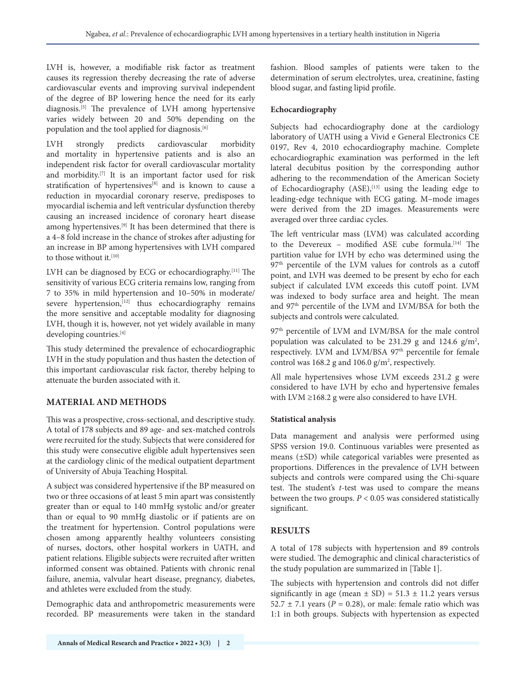LVH is, however, a modifiable risk factor as treatment causes its regression thereby decreasing the rate of adverse cardiovascular events and improving survival independent of the degree of BP lowering hence the need for its early diagnosis.[5] The prevalence of LVH among hypertensive varies widely between 20 and 50% depending on the population and the tool applied for diagnosis.<sup>[6]</sup>

LVH strongly predicts cardiovascular morbidity and mortality in hypertensive patients and is also an independent risk factor for overall cardiovascular mortality and morbidity.<sup>[7]</sup> It is an important factor used for risk stratification of hypertensives<sup>[8]</sup> and is known to cause a reduction in myocardial coronary reserve, predisposes to myocardial ischemia and left ventricular dysfunction thereby causing an increased incidence of coronary heart disease among hypertensives.<sup>[9]</sup> It has been determined that there is a 4–8 fold increase in the chance of strokes after adjusting for an increase in BP among hypertensives with LVH compared to those without it.<sup>[10]</sup>

LVH can be diagnosed by ECG or echocardiography.<sup>[11]</sup> The sensitivity of various ECG criteria remains low, ranging from 7 to 35% in mild hypertension and 10–50% in moderate/ severe hypertension, $[12]$  thus echocardiography remains the more sensitive and acceptable modality for diagnosing LVH, though it is, however, not yet widely available in many developing countries.[4]

This study determined the prevalence of echocardiographic LVH in the study population and thus hasten the detection of this important cardiovascular risk factor, thereby helping to attenuate the burden associated with it.

# **MATERIAL AND METHODS**

This was a prospective, cross-sectional, and descriptive study. A total of 178 subjects and 89 age- and sex-matched controls were recruited for the study. Subjects that were considered for this study were consecutive eligible adult hypertensives seen at the cardiology clinic of the medical outpatient department of University of Abuja Teaching Hospital.

A subject was considered hypertensive if the BP measured on two or three occasions of at least 5 min apart was consistently greater than or equal to 140 mmHg systolic and/or greater than or equal to 90 mmHg diastolic or if patients are on the treatment for hypertension. Control populations were chosen among apparently healthy volunteers consisting of nurses, doctors, other hospital workers in UATH, and patient relations. Eligible subjects were recruited after written informed consent was obtained. Patients with chronic renal failure, anemia, valvular heart disease, pregnancy, diabetes, and athletes were excluded from the study.

Demographic data and anthropometric measurements were recorded. BP measurements were taken in the standard fashion. Blood samples of patients were taken to the determination of serum electrolytes, urea, creatinine, fasting blood sugar, and fasting lipid profile.

## **Echocardiography**

Subjects had echocardiography done at the cardiology laboratory of UATH using a Vivid e General Electronics CE 0197, Rev 4, 2010 echocardiography machine. Complete echocardiographic examination was performed in the left lateral decubitus position by the corresponding author adhering to the recommendation of the American Society of Echocardiography (ASE),<sup>[13]</sup> using the leading edge to leading-edge technique with ECG gating. M–mode images were derived from the 2D images. Measurements were averaged over three cardiac cycles.

The left ventricular mass (LVM) was calculated according to the Devereux - modified ASE cube formula.<sup>[14]</sup> The partition value for LVH by echo was determined using the 97<sup>th</sup> percentile of the LVM values for controls as a cutoff point, and LVH was deemed to be present by echo for each subject if calculated LVM exceeds this cutoff point. LVM was indexed to body surface area and height. The mean and 97th percentile of the LVM and LVM/BSA for both the subjects and controls were calculated.

97<sup>th</sup> percentile of LVM and LVM/BSA for the male control population was calculated to be 231.29 g and 124.6  $g/m^2$ , respectively. LVM and LVM/BSA 97<sup>th</sup> percentile for female control was 168.2 g and 106.0  $g/m^2$ , respectively.

All male hypertensives whose LVM exceeds 231.2 g were considered to have LVH by echo and hypertensive females with LVM ≥168.2 g were also considered to have LVH.

## **Statistical analysis**

Data management and analysis were performed using SPSS version 19.0. Continuous variables were presented as means (±SD) while categorical variables were presented as proportions. Differences in the prevalence of LVH between subjects and controls were compared using the Chi-square test. The student's *t*-test was used to compare the means between the two groups. *P* < 0.05 was considered statistically significant.

# **RESULTS**

A total of 178 subjects with hypertension and 89 controls were studied. The demographic and clinical characteristics of the study population are summarized in [Table 1].

The subjects with hypertension and controls did not differ significantly in age (mean  $\pm$  SD) = 51.3  $\pm$  11.2 years versus 52.7  $\pm$  7.1 years ( $P = 0.28$ ), or male: female ratio which was 1:1 in both groups. Subjects with hypertension as expected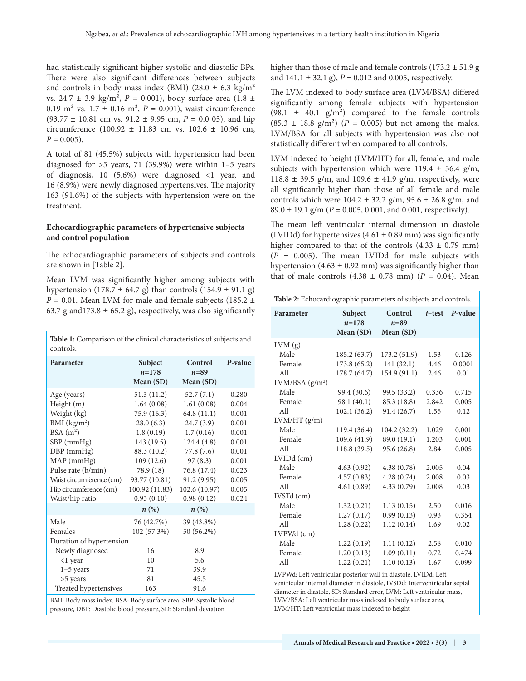had statistically significant higher systolic and diastolic BPs. There were also significant differences between subjects and controls in body mass index (BMI) (28.0  $\pm$  6.3 kg/m<sup>2</sup> vs. 24.7 ± 3.9 kg/m², *P* = 0.001), body surface area (1.8 ± 0.19 m<sup>2</sup> vs.  $1.7 \pm 0.16$  m<sup>2</sup>,  $P = 0.001$ ), waist circumference  $(93.77 \pm 10.81 \text{ cm vs. } 91.2 \pm 9.95 \text{ cm}, P = 0.0 05)$ , and hip circumference (100.92  $\pm$  11.83 cm vs. 102.6  $\pm$  10.96 cm,  $P = 0.005$ .

A total of 81 (45.5%) subjects with hypertension had been diagnosed for  $>5$  years, 71 (39.9%) were within 1-5 years of diagnosis, 10 (5.6%) were diagnosed <1 year, and 16 (8.9%) were newly diagnosed hypertensives. The majority 163 (91.6%) of the subjects with hypertension were on the treatment.

#### **Echocardiographic parameters of hypertensive subjects and control population**

The echocardiographic parameters of subjects and controls are shown in [Table 2].

Mean LVM was significantly higher among subjects with hypertension (178.7  $\pm$  64.7 g) than controls (154.9  $\pm$  91.1 g)  $P = 0.01$ . Mean LVM for male and female subjects (185.2  $\pm$ 63.7 g and 173.8  $\pm$  65.2 g), respectively, was also significantly

| Table 1: Comparison of the clinical characteristics of subjects and<br>controls.                                                                                                                                                                                                                                                                                                                       |                                                                                                                                                                                                 |                                                                                                                                                                                |                                                                                                          |  |  |  |
|--------------------------------------------------------------------------------------------------------------------------------------------------------------------------------------------------------------------------------------------------------------------------------------------------------------------------------------------------------------------------------------------------------|-------------------------------------------------------------------------------------------------------------------------------------------------------------------------------------------------|--------------------------------------------------------------------------------------------------------------------------------------------------------------------------------|----------------------------------------------------------------------------------------------------------|--|--|--|
| Parameter                                                                                                                                                                                                                                                                                                                                                                                              | Subject<br>$n = 178$<br>Mean (SD)                                                                                                                                                               | Control<br>$n = 89$<br>Mean (SD)                                                                                                                                               | P-value                                                                                                  |  |  |  |
| Age (years)<br>Height (m)<br>Weight (kg)<br>BMI $(kg/m2)$<br>$BSA(m^2)$<br>SBP (mmHg)<br>$DBP$ (mmHg)<br>MAP (mmHg)<br>Pulse rate (b/min)<br>Waist circumference (cm)<br>Hip circumference (cm)<br>Waist/hip ratio                                                                                                                                                                                     | 51.3(11.2)<br>1.64(0.08)<br>75.9 (16.3)<br>28.0(6.3)<br>1.8(0.19)<br>143 (19.5)<br>88.3 (10.2)<br>109(12.6)<br>78.9 (18)<br>93.77 (10.81)<br>100.92 (11.83)<br>0.93(0.10)<br>$n\left(\%\right)$ | 52.7(7.1)<br>1.61(0.08)<br>64.8(11.1)<br>24.7(3.9)<br>1.7(0.16)<br>124.4(4.8)<br>77.8 (7.6)<br>97(8.3)<br>76.8 (17.4)<br>91.2 (9.95)<br>102.6 (10.97)<br>0.98(0.12)<br>$n(\%)$ | 0.280<br>0.004<br>0.001<br>0.001<br>0.001<br>0.001<br>0.001<br>0.001<br>0.023<br>0.005<br>0.005<br>0.024 |  |  |  |
| Male<br>76 (42.7%)<br>39 (43.8%)<br>Females<br>102 (57.3%)<br>50 (56.2%)<br>Duration of hypertension<br>Newly diagnosed<br>16<br>8.9<br>5.6<br>10<br>$<$ 1 year<br>71<br>39.9<br>$1-5$ years<br>>5 years<br>81<br>45.5<br>Treated hypertensives<br>91.6<br>163<br>BMI: Body mass index, BSA: Body surface area, SBP: Systolic blood<br>pressure, DBP: Diastolic blood pressure, SD: Standard deviation |                                                                                                                                                                                                 |                                                                                                                                                                                |                                                                                                          |  |  |  |

higher than those of male and female controls  $(173.2 \pm 51.9 \text{ g})$ and 141.1 ± 32.1 g), *P* = 0.012 and 0.005, respectively.

The LVM indexed to body surface area (LVM/BSA) differed significantly among female subjects with hypertension  $(98.1 \pm 40.1 \text{ g/m}^2)$  compared to the female controls  $(85.3 \pm 18.8 \text{ g/m}^2)$  (*P* = 0.005) but not among the males. LVM/BSA for all subjects with hypertension was also not statistically different when compared to all controls.

LVM indexed to height (LVM/HT) for all, female, and male subjects with hypertension which were 119.4  $\pm$  36.4 g/m, 118.8  $\pm$  39.5 g/m, and 109.6  $\pm$  41.9 g/m, respectively, were all significantly higher than those of all female and male controls which were  $104.2 \pm 32.2$  g/m,  $95.6 \pm 26.8$  g/m, and 89.0 ± 19.1 g/m (*P* = 0.005, 0.001, and 0.001, respectively).

The mean left ventricular internal dimension in diastole (LVIDd) for hypertensives  $(4.61 \pm 0.89 \text{ mm})$  was significantly higher compared to that of the controls  $(4.33 \pm 0.79 \text{ mm})$  $(P = 0.005)$ . The mean LVIDd for male subjects with hypertension  $(4.63 \pm 0.92 \text{ mm})$  was significantly higher than that of male controls  $(4.38 \pm 0.78 \text{ mm})$   $(P = 0.04)$ . Mean

| Table 2: Echocardiographic parameters of subjects and controls.                                                                                                                                                                                                                       |                                 |                                  |           |         |  |  |
|---------------------------------------------------------------------------------------------------------------------------------------------------------------------------------------------------------------------------------------------------------------------------------------|---------------------------------|----------------------------------|-----------|---------|--|--|
| Parameter                                                                                                                                                                                                                                                                             | Subject<br>$n=178$<br>Mean (SD) | Control<br>$n = 89$<br>Mean (SD) | $t$ -test | P-value |  |  |
| LVM(g)                                                                                                                                                                                                                                                                                |                                 |                                  |           |         |  |  |
| Male                                                                                                                                                                                                                                                                                  | 185.2 (63.7)                    | 173.2 (51.9)                     | 1.53      | 0.126   |  |  |
| Female                                                                                                                                                                                                                                                                                | 173.8 (65.2)                    | 141(32.1)                        | 4.46      | 0.0001  |  |  |
| All                                                                                                                                                                                                                                                                                   | 178.7 (64.7)                    | 154.9 (91.1)                     | 2.46      | 0.01    |  |  |
| LVM/BSA (g/m <sup>2</sup> )                                                                                                                                                                                                                                                           |                                 |                                  |           |         |  |  |
| Male                                                                                                                                                                                                                                                                                  | 99.4 (30.6)                     | 99.5 (33.2)                      | 0.336     | 0.715   |  |  |
| Female                                                                                                                                                                                                                                                                                | 98.1 (40.1)                     | 85.3 (18.8)                      | 2.842     | 0.005   |  |  |
| All                                                                                                                                                                                                                                                                                   | 102.1 (36.2)                    | 91.4 (26.7)                      | 1.55      | 0.12    |  |  |
| LVM/HT(g/m)                                                                                                                                                                                                                                                                           |                                 |                                  |           |         |  |  |
| Male                                                                                                                                                                                                                                                                                  | 119.4 (36.4)                    | 104.2 (32.2)                     | 1.029     | 0.001   |  |  |
| Female                                                                                                                                                                                                                                                                                | 109.6 (41.9)                    | 89.0 (19.1)                      | 1.203     | 0.001   |  |  |
| A11                                                                                                                                                                                                                                                                                   | 118.8 (39.5)                    | 95.6 (26.8)                      | 2.84      | 0.005   |  |  |
| LVIDd (cm)                                                                                                                                                                                                                                                                            |                                 |                                  |           |         |  |  |
| Male                                                                                                                                                                                                                                                                                  | 4.63(0.92)                      | 4.38(0.78)                       | 2.005     | 0.04    |  |  |
| Female                                                                                                                                                                                                                                                                                | 4.57(0.83)                      | 4.28(0.74)                       | 2.008     | 0.03    |  |  |
| All                                                                                                                                                                                                                                                                                   | 4.61(0.89)                      | 4.33(0.79)                       | 2.008     | 0.03    |  |  |
| IVSTd (cm)                                                                                                                                                                                                                                                                            |                                 |                                  |           |         |  |  |
| Male                                                                                                                                                                                                                                                                                  | 1.32(0.21)                      | 1.13(0.15)                       | 2.50      | 0.016   |  |  |
| Female                                                                                                                                                                                                                                                                                | 1.27(0.17)                      | 0.99(0.13)                       | 0.93      | 0.354   |  |  |
| All                                                                                                                                                                                                                                                                                   | 1.28(0.22)                      | 1.12(0.14)                       | 1.69      | 0.02    |  |  |
| LVPWd (cm)                                                                                                                                                                                                                                                                            |                                 |                                  |           |         |  |  |
| Male                                                                                                                                                                                                                                                                                  | 1.22(0.19)                      | 1.11(0.12)                       | 2.58      | 0.010   |  |  |
| Female                                                                                                                                                                                                                                                                                | 1.20(0.13)                      | 1.09(0.11)                       | 0.72      | 0.474   |  |  |
| All                                                                                                                                                                                                                                                                                   | 1.22(0.21)                      | 1.10(0.13)                       | 1.67      | 0.099   |  |  |
| LVPWd: Left ventricular posterior wall in diastole, LVIDd: Left<br>ventricular internal diameter in diastole, IVSDd: Interventricular septal<br>diameter in diastole, SD: Standard error, LVM: Left ventricular mass,<br>LVM/BSA: Left ventricular mass indexed to body surface area, |                                 |                                  |           |         |  |  |

LVM/HT: Left ventricular mass indexed to height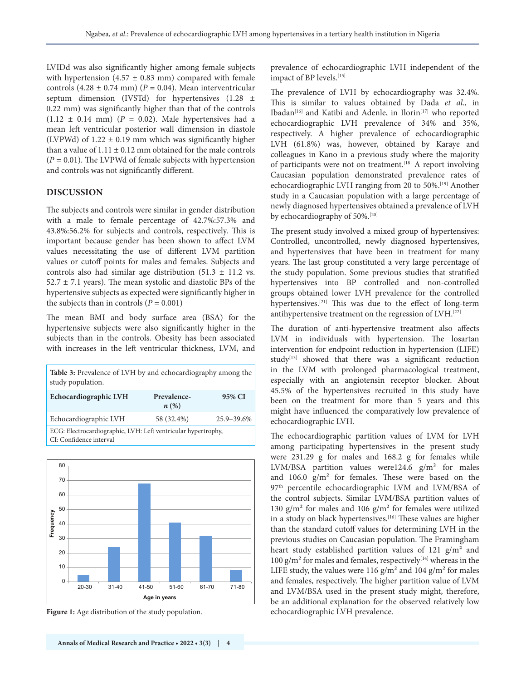LVIDd was also significantly higher among female subjects with hypertension  $(4.57 \pm 0.83 \text{ mm})$  compared with female controls  $(4.28 \pm 0.74 \text{ mm})$   $(P = 0.04)$ . Mean interventricular septum dimension (IVSTd) for hypertensives (1.28 ± 0.22 mm) was significantly higher than that of the controls  $(1.12 \pm 0.14 \text{ mm})$   $(P = 0.02)$ . Male hypertensives had a mean left ventricular posterior wall dimension in diastole (LVPWd) of  $1.22 \pm 0.19$  mm which was significantly higher than a value of  $1.11 \pm 0.12$  mm obtained for the male controls (*P* = 0.01). The LVPWd of female subjects with hypertension and controls was not significantly different.

#### **DISCUSSION**

The subjects and controls were similar in gender distribution with a male to female percentage of 42.7%:57.3% and 43.8%:56.2% for subjects and controls, respectively. This is important because gender has been shown to affect LVM values necessitating the use of different LVM partition values or cutoff points for males and females. Subjects and controls also had similar age distribution  $(51.3 \pm 11.2 \text{ vs.})$  $52.7 \pm 7.1$  years). The mean systolic and diastolic BPs of the hypertensive subjects as expected were significantly higher in the subjects than in controls  $(P = 0.001)$ 

The mean BMI and body surface area (BSA) for the hypertensive subjects were also significantly higher in the subjects than in the controls. Obesity has been associated with increases in the left ventricular thickness, LVM, and

**Table 3:** Prevalence of LVH by and echocardiography among the study population.

| Echocardiographic LVH                                                                    | Prevalence-<br>$n\left(\%\right)$ | 95% CI     |  |  |  |
|------------------------------------------------------------------------------------------|-----------------------------------|------------|--|--|--|
| Echocardiographic LVH                                                                    | 58 (32.4%)                        | 25.9-39.6% |  |  |  |
| ECG: Electrocardiographic, LVH: Left ventricular hypertrophy,<br>CI: Confidence interval |                                   |            |  |  |  |



Figure 1: Age distribution of the study population.

prevalence of echocardiographic LVH independent of the impact of BP levels.<sup>[15]</sup>

The prevalence of LVH by echocardiography was 32.4%. This is similar to values obtained by Dada *et al*., in Ibadan<sup>[16]</sup> and Katibi and Adenle, in Ilorin<sup>[17]</sup> who reported echocardiographic LVH prevalence of 34% and 35%, respectively. A higher prevalence of echocardiographic LVH (61.8%) was, however, obtained by Karaye and colleagues in Kano in a previous study where the majority of participants were not on treatment.<sup>[18]</sup> A report involving Caucasian population demonstrated prevalence rates of echocardiographic LVH ranging from 20 to 50%.[19] Another study in a Caucasian population with a large percentage of newly diagnosed hypertensives obtained a prevalence of LVH by echocardiography of 50%.<sup>[20]</sup>

The present study involved a mixed group of hypertensives: Controlled, uncontrolled, newly diagnosed hypertensives, and hypertensives that have been in treatment for many years. The last group constituted a very large percentage of the study population. Some previous studies that stratified hypertensives into BP controlled and non-controlled groups obtained lower LVH prevalence for the controlled hypertensives.<sup>[21]</sup> This was due to the effect of long-term antihypertensive treatment on the regression of LVH.<sup>[22]</sup>

The duration of anti-hypertensive treatment also affects LVM in individuals with hypertension. The losartan intervention for endpoint reduction in hypertension (LIFE) study<sup>[13]</sup> showed that there was a significant reduction in the LVM with prolonged pharmacological treatment, especially with an angiotensin receptor blocker. About 45.5% of the hypertensives recruited in this study have been on the treatment for more than 5 years and this might have influenced the comparatively low prevalence of echocardiographic LVH.

The echocardiographic partition values of LVM for LVH among participating hypertensives in the present study were 231.29 g for males and 168.2 g for females while LVM/BSA partition values were124.6 g/m² for males and 106.0 g/m² for females. These were based on the 97<sup>th</sup> percentile echocardiographic LVM and LVM/BSA of the control subjects. Similar LVM/BSA partition values of 130  $g/m^2$  for males and 106  $g/m^2$  for females were utilized in a study on black hypertensives.<sup>[16]</sup> These values are higher than the standard cutoff values for determining LVH in the previous studies on Caucasian population. The Framingham heart study established partition values of 121 g/m<sup>2</sup> and 100  $g/m<sup>2</sup>$  for males and females, respectively<sup>[14]</sup> whereas in the LIFE study, the values were 116 g/m<sup>2</sup> and 104 g/m<sup>2</sup> for males and females, respectively. The higher partition value of LVM and LVM/BSA used in the present study might, therefore, be an additional explanation for the observed relatively low echocardiographic LVH prevalence.